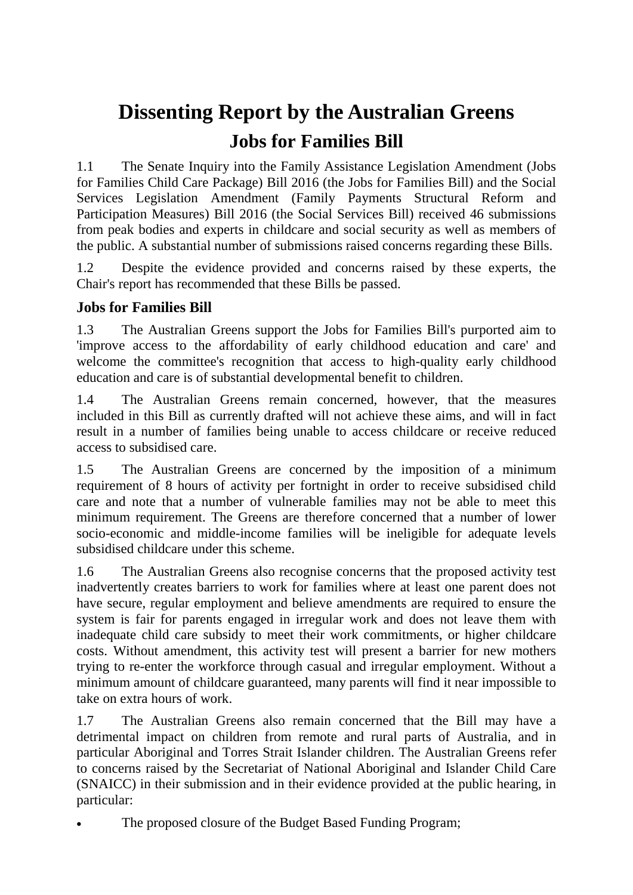## **Dissenting Report by the Australian Greens Jobs for Families Bill**

1.1 The Senate Inquiry into the Family Assistance Legislation Amendment (Jobs for Families Child Care Package) Bill 2016 (the Jobs for Families Bill) and the Social Services Legislation Amendment (Family Payments Structural Reform and Participation Measures) Bill 2016 (the Social Services Bill) received 46 submissions from peak bodies and experts in childcare and social security as well as members of the public. A substantial number of submissions raised concerns regarding these Bills.

1.2 Despite the evidence provided and concerns raised by these experts, the Chair's report has recommended that these Bills be passed.

## **Jobs for Families Bill**

1.3 The Australian Greens support the Jobs for Families Bill's purported aim to 'improve access to the affordability of early childhood education and care' and welcome the committee's recognition that access to high-quality early childhood education and care is of substantial developmental benefit to children.

1.4 The Australian Greens remain concerned, however, that the measures included in this Bill as currently drafted will not achieve these aims, and will in fact result in a number of families being unable to access childcare or receive reduced access to subsidised care.

1.5 The Australian Greens are concerned by the imposition of a minimum requirement of 8 hours of activity per fortnight in order to receive subsidised child care and note that a number of vulnerable families may not be able to meet this minimum requirement. The Greens are therefore concerned that a number of lower socio-economic and middle-income families will be ineligible for adequate levels subsidised childcare under this scheme.

1.6 The Australian Greens also recognise concerns that the proposed activity test inadvertently creates barriers to work for families where at least one parent does not have secure, regular employment and believe amendments are required to ensure the system is fair for parents engaged in irregular work and does not leave them with inadequate child care subsidy to meet their work commitments, or higher childcare costs. Without amendment, this activity test will present a barrier for new mothers trying to re-enter the workforce through casual and irregular employment. Without a minimum amount of childcare guaranteed, many parents will find it near impossible to take on extra hours of work.

1.7 The Australian Greens also remain concerned that the Bill may have a detrimental impact on children from remote and rural parts of Australia, and in particular Aboriginal and Torres Strait Islander children. The Australian Greens refer to concerns raised by the Secretariat of National Aboriginal and Islander Child Care (SNAICC) in their submission and in their evidence provided at the public hearing, in particular:

The proposed closure of the Budget Based Funding Program;